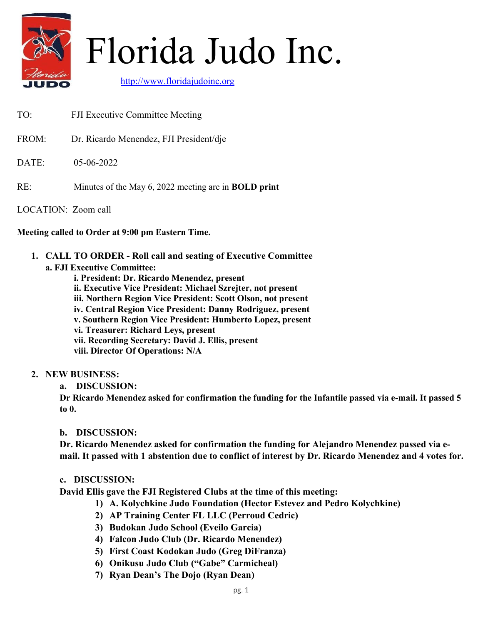

# Florida Judo Inc.

http://www.floridajudoinc.org

- TO: FJI Executive Committee Meeting
- FROM: Dr. Ricardo Menendez, FJI President/dje
- DATE: 05-06-2022
- RE: Minutes of the May 6, 2022 meeting are in **BOLD print**
- LOCATION: Zoom call

#### Meeting called to Order at 9:00 pm Eastern Time.

1. CALL TO ORDER - Roll call and seating of Executive Committee

#### a. FJI Executive Committee:

- i. President: Dr. Ricardo Menendez, present
- ii. Executive Vice President: Michael Szrejter, not present
- iii. Northern Region Vice President: Scott Olson, not present
- iv. Central Region Vice President: Danny Rodriguez, present
- v. Southern Region Vice President: Humberto Lopez, present
- vi. Treasurer: Richard Leys, present
- vii. Recording Secretary: David J. Ellis, present
- viii. Director Of Operations: N/A

### 2. NEW BUSINESS:

a. DISCUSSION:

Dr Ricardo Menendez asked for confirmation the funding for the Infantile passed via e-mail. It passed 5 to 0.

#### b. DISCUSSION:

Dr. Ricardo Menendez asked for confirmation the funding for Alejandro Menendez passed via email. It passed with 1 abstention due to conflict of interest by Dr. Ricardo Menendez and 4 votes for.

### c. DISCUSSION:

David Ellis gave the FJI Registered Clubs at the time of this meeting:

- 1) A. Kolychkine Judo Foundation (Hector Estevez and Pedro Kolychkine)
- 2) AP Training Center FL LLC (Perroud Cedric)
- 3) Budokan Judo School (Eveilo Garcia)
- 4) Falcon Judo Club (Dr. Ricardo Menendez)
- 5) First Coast Kodokan Judo (Greg DiFranza)
- 6) Onikusu Judo Club ("Gabe" Carmicheal)
- 7) Ryan Dean's The Dojo (Ryan Dean)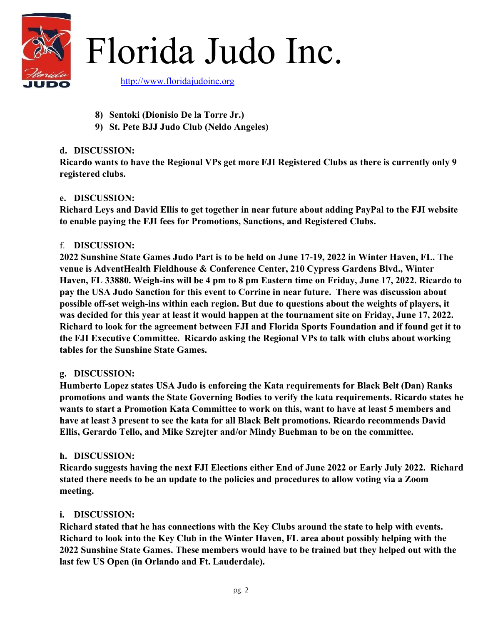

Florida Judo Inc.

http://www.floridajudoinc.org

- 8) Sentoki (Dionisio De la Torre Jr.)
- 9) St. Pete BJJ Judo Club (Neldo Angeles)

## d. DISCUSSION:

Ricardo wants to have the Regional VPs get more FJI Registered Clubs as there is currently only 9 registered clubs.

# e. DISCUSSION:

Richard Leys and David Ellis to get together in near future about adding PayPal to the FJI website to enable paying the FJI fees for Promotions, Sanctions, and Registered Clubs.

### f. DISCUSSION:

2022 Sunshine State Games Judo Part is to be held on June 17-19, 2022 in Winter Haven, FL. The venue is AdventHealth Fieldhouse & Conference Center, 210 Cypress Gardens Blvd., Winter Haven, FL 33880. Weigh-ins will be 4 pm to 8 pm Eastern time on Friday, June 17, 2022. Ricardo to pay the USA Judo Sanction for this event to Corrine in near future. There was discussion about possible off-set weigh-ins within each region. But due to questions about the weights of players, it was decided for this year at least it would happen at the tournament site on Friday, June 17, 2022. Richard to look for the agreement between FJI and Florida Sports Foundation and if found get it to the FJI Executive Committee. Ricardo asking the Regional VPs to talk with clubs about working tables for the Sunshine State Games.

### g. DISCUSSION:

Humberto Lopez states USA Judo is enforcing the Kata requirements for Black Belt (Dan) Ranks promotions and wants the State Governing Bodies to verify the kata requirements. Ricardo states he wants to start a Promotion Kata Committee to work on this, want to have at least 5 members and have at least 3 present to see the kata for all Black Belt promotions. Ricardo recommends David Ellis, Gerardo Tello, and Mike Szrejter and/or Mindy Buehman to be on the committee.

### h. DISCUSSION:

Ricardo suggests having the next FJI Elections either End of June 2022 or Early July 2022. Richard stated there needs to be an update to the policies and procedures to allow voting via a Zoom meeting.

### i. DISCUSSION:

Richard stated that he has connections with the Key Clubs around the state to help with events. Richard to look into the Key Club in the Winter Haven, FL area about possibly helping with the 2022 Sunshine State Games. These members would have to be trained but they helped out with the last few US Open (in Orlando and Ft. Lauderdale).